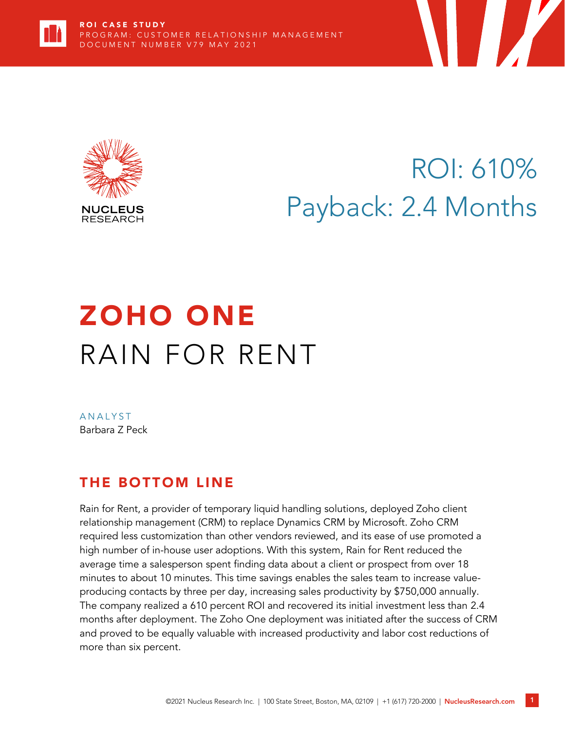



# ROI: 610% Payback: 2.4 Months

# ZOHO ONE RAIN FOR RENT

**ANALYST** Barbara Z Peck

# THE BOTTOM LINE

Rain for Rent, a provider of temporary liquid handling solutions, deployed Zoho client relationship management (CRM) to replace Dynamics CRM by Microsoft. Zoho CRM required less customization than other vendors reviewed, and its ease of use promoted a high number of in-house user adoptions. With this system, Rain for Rent reduced the average time a salesperson spent finding data about a client or prospect from over 18 minutes to about 10 minutes. This time savings enables the sales team to increase valueproducing contacts by three per day, increasing sales productivity by \$750,000 annually. The company realized a 610 percent ROI and recovered its initial investment less than 2.4 months after deployment. The Zoho One deployment was initiated after the success of CRM and proved to be equally valuable with increased productivity and labor cost reductions of more than six percent.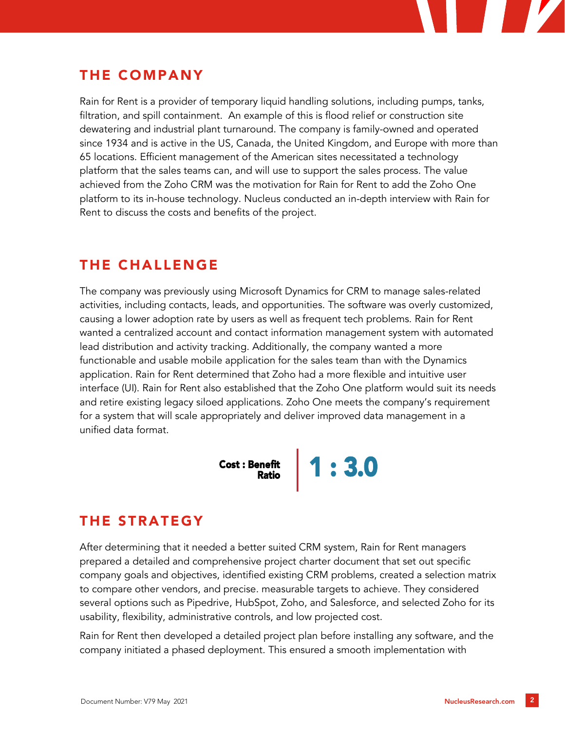## THE COMPANY

Rain for Rent is a provider of temporary liquid handling solutions, including pumps, tanks, filtration, and spill containment. An example of this is flood relief or construction site dewatering and industrial plant turnaround. The company is family-owned and operated since 1934 and is active in the US, Canada, the United Kingdom, and Europe with more than 65 locations. Efficient management of the American sites necessitated a technology platform that the sales teams can, and will use to support the sales process. The value achieved from the Zoho CRM was the motivation for Rain for Rent to add the Zoho One platform to its in-house technology. Nucleus conducted an in-depth interview with Rain for Rent to discuss the costs and benefits of the project.

## THE CHALLENGE

The company was previously using Microsoft Dynamics for CRM to manage sales-related activities, including contacts, leads, and opportunities. The software was overly customized, causing a lower adoption rate by users as well as frequent tech problems. Rain for Rent wanted a centralized account and contact information management system with automated lead distribution and activity tracking. Additionally, the company wanted a more functionable and usable mobile application for the sales team than with the Dynamics application. Rain for Rent determined that Zoho had a more flexible and intuitive user interface (UI). Rain for Rent also established that the Zoho One platform would suit its needs and retire existing legacy siloed applications. Zoho One meets the company's requirement for a system that will scale appropriately and deliver improved data management in a unified data format.



## THE STRATEGY

After determining that it needed a better suited CRM system, Rain for Rent managers prepared a detailed and comprehensive project charter document that set out specific company goals and objectives, identified existing CRM problems, created a selection matrix to compare other vendors, and precise. measurable targets to achieve. They considered several options such as Pipedrive, HubSpot, Zoho, and Salesforce, and selected Zoho for its usability, flexibility, administrative controls, and low projected cost.

Rain for Rent then developed a detailed project plan before installing any software, and the company initiated a phased deployment. This ensured a smooth implementation with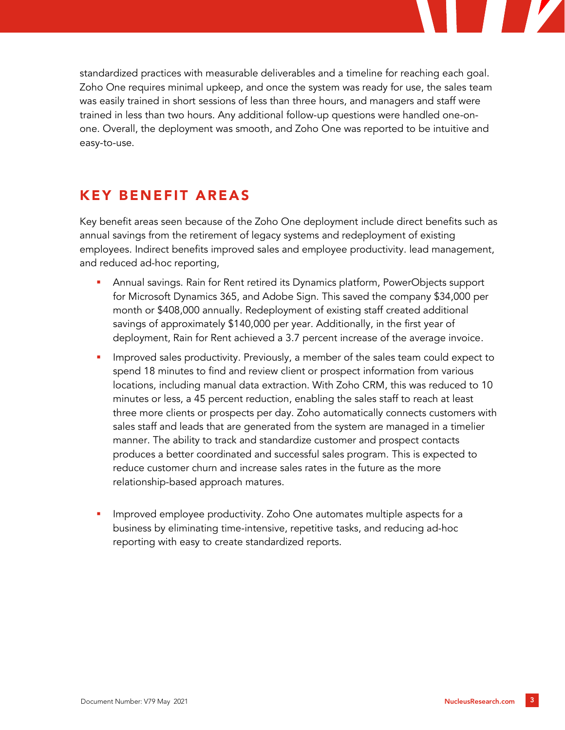standardized practices with measurable deliverables and a timeline for reaching each goal. Zoho One requires minimal upkeep, and once the system was ready for use, the sales team was easily trained in short sessions of less than three hours, and managers and staff were trained in less than two hours. Any additional follow-up questions were handled one-onone. Overall, the deployment was smooth, and Zoho One was reported to be intuitive and easy-to-use.

### KEY BENEFIT AREAS

Key benefit areas seen because of the Zoho One deployment include direct benefits such as annual savings from the retirement of legacy systems and redeployment of existing employees. Indirect benefits improved sales and employee productivity. lead management, and reduced ad-hoc reporting,

- Annual savings. Rain for Rent retired its Dynamics platform, PowerObjects support for Microsoft Dynamics 365, and Adobe Sign. This saved the company \$34,000 per month or \$408,000 annually. Redeployment of existing staff created additional savings of approximately \$140,000 per year. Additionally, in the first year of deployment, Rain for Rent achieved a 3.7 percent increase of the average invoice.
- Improved sales productivity. Previously, a member of the sales team could expect to spend 18 minutes to find and review client or prospect information from various locations, including manual data extraction. With Zoho CRM, this was reduced to 10 minutes or less, a 45 percent reduction, enabling the sales staff to reach at least three more clients or prospects per day. Zoho automatically connects customers with sales staff and leads that are generated from the system are managed in a timelier manner. The ability to track and standardize customer and prospect contacts produces a better coordinated and successful sales program. This is expected to reduce customer churn and increase sales rates in the future as the more relationship-based approach matures.
- Improved employee productivity. Zoho One automates multiple aspects for a business by eliminating time-intensive, repetitive tasks, and reducing ad-hoc reporting with easy to create standardized reports.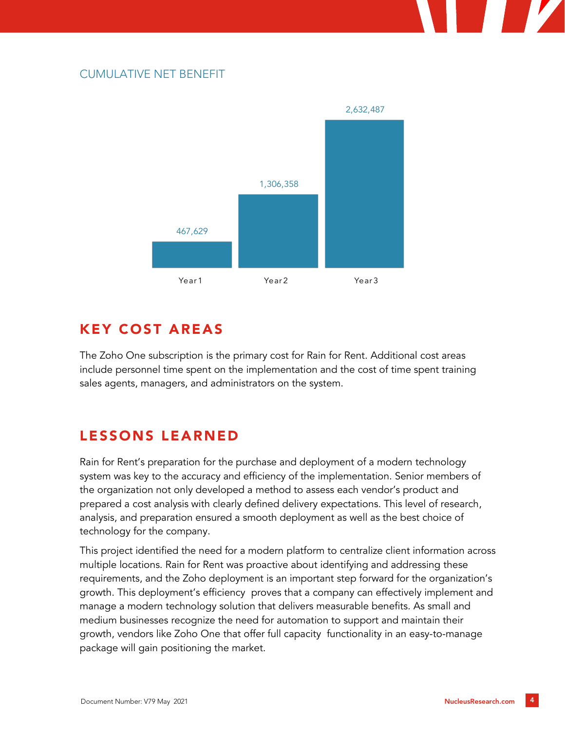#### CUMULATIVE NET BENEFIT



## KEY COST AREAS

The Zoho One subscription is the primary cost for Rain for Rent. Additional cost areas include personnel time spent on the implementation and the cost of time spent training sales agents, managers, and administrators on the system.

## LESSONS LEARNED

Rain for Rent's preparation for the purchase and deployment of a modern technology system was key to the accuracy and efficiency of the implementation. Senior members of the organization not only developed a method to assess each vendor's product and prepared a cost analysis with clearly defined delivery expectations. This level of research, analysis, and preparation ensured a smooth deployment as well as the best choice of technology for the company.

This project identified the need for a modern platform to centralize client information across multiple locations. Rain for Rent was proactive about identifying and addressing these requirements, and the Zoho deployment is an important step forward for the organization's growth. This deployment's efficiency proves that a company can effectively implement and manage a modern technology solution that delivers measurable benefits. As small and medium businesses recognize the need for automation to support and maintain their growth, vendors like Zoho One that offer full capacity functionality in an easy-to-manage package will gain positioning the market.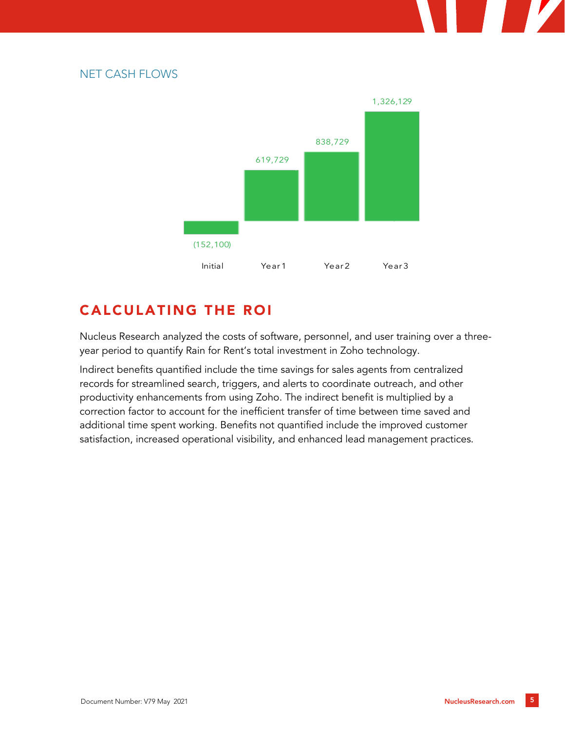#### NET CASH FLOWS



# CALCULATING THE ROI

Nucleus Research analyzed the costs of software, personnel, and user training over a threeyear period to quantify Rain for Rent's total investment in Zoho technology.

Indirect benefits quantified include the time savings for sales agents from centralized records for streamlined search, triggers, and alerts to coordinate outreach, and other productivity enhancements from using Zoho. The indirect benefit is multiplied by a correction factor to account for the inefficient transfer of time between time saved and additional time spent working. Benefits not quantified include the improved customer satisfaction, increased operational visibility, and enhanced lead management practices.